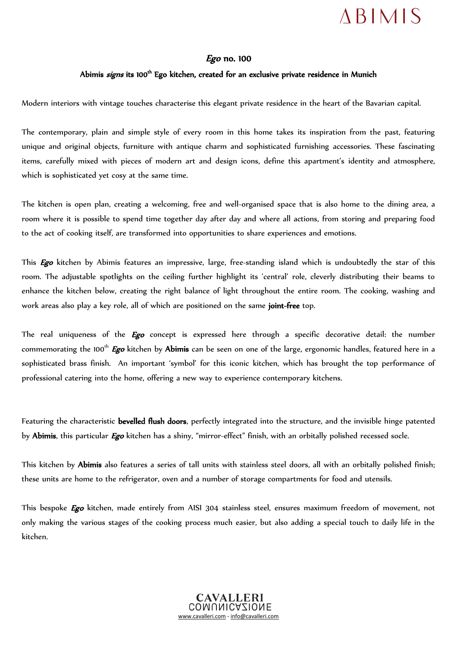## $ABIMIS$

## Ego no. 100

## Abimis *signs* its 100<sup>th</sup> Ego kitchen, created for an exclusive private residence in Munich

Modern interiors with vintage touches characterise this elegant private residence in the heart of the Bavarian capital.

The contemporary, plain and simple style of every room in this home takes its inspiration from the past, featuring unique and original objects, furniture with antique charm and sophisticated furnishing accessories. These fascinating items, carefully mixed with pieces of modern art and design icons, define this apartment's identity and atmosphere, which is sophisticated yet cosy at the same time.

The kitchen is open plan, creating a welcoming, free and well-organised space that is also home to the dining area, a room where it is possible to spend time together day after day and where all actions, from storing and preparing food to the act of cooking itself, are transformed into opportunities to share experiences and emotions.

This *Ego* kitchen by Abimis features an impressive, large, free-standing island which is undoubtedly the star of this room. The adjustable spotlights on the ceiling further highlight its 'central' role, cleverly distributing their beams to enhance the kitchen below, creating the right balance of light throughout the entire room. The cooking, washing and work areas also play a key role, all of which are positioned on the same joint-free top.

The real uniqueness of the *Ego* concept is expressed here through a specific decorative detail: the number commemorating the 100<sup>th</sup> **Ego** kitchen by **Abimis** can be seen on one of the large, ergonomic handles, featured here in a sophisticated brass finish. An important 'symbol' for this iconic kitchen, which has brought the top performance of professional catering into the home, offering a new way to experience contemporary kitchens.

Featuring the characteristic bevelled flush doors, perfectly integrated into the structure, and the invisible hinge patented by Abimis, this particular Ego kitchen has a shiny, "mirror-effect" finish, with an orbitally polished recessed socle.

This kitchen by Abimis also features a series of tall units with stainless steel doors, all with an orbitally polished finish; these units are home to the refrigerator, oven and a number of storage compartments for food and utensils.

This bespoke *Ego* kitchen, made entirely from AISI 304 stainless steel, ensures maximum freedom of movement, not only making the various stages of the cooking process much easier, but also adding a special touch to daily life in the kitchen.